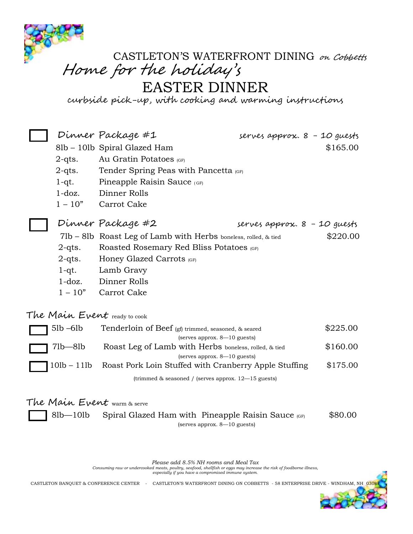

## CASTLETON'S WATERFRONT DINING on Cobbetts Home for the holiday'<sup>s</sup>

EASTER DINNER

curbside pick-up, with cooking and warming instructions

|  |                                                                                                  | Dinner Package #1                                                           | serves approx. 8 - 10 guests |          |
|--|--------------------------------------------------------------------------------------------------|-----------------------------------------------------------------------------|------------------------------|----------|
|  |                                                                                                  | 8lb - 10lb Spiral Glazed Ham                                                |                              | \$165.00 |
|  | $2$ -qts.                                                                                        | Au Gratin Potatoes (GF)                                                     |                              |          |
|  | $2$ -qts.                                                                                        | Tender Spring Peas with Pancetta (GF)                                       |                              |          |
|  | $1-qt.$                                                                                          | Pineapple Raisin Sauce (GF)                                                 |                              |          |
|  | $1$ -doz.                                                                                        | Dinner Rolls                                                                |                              |          |
|  | $1 - 10"$                                                                                        | Carrot Cake                                                                 |                              |          |
|  |                                                                                                  | Dinner Package #2                                                           | serves approx. 8 - 10 guests |          |
|  |                                                                                                  | \$220.00<br>71b – 81b Roast Leg of Lamb with Herbs boneless, rolled, & tied |                              |          |
|  | $2 - q$ ts.                                                                                      | Roasted Rosemary Red Bliss Potatoes (GF)                                    |                              |          |
|  | $2$ -qts.                                                                                        | Honey Glazed Carrots (GF)                                                   |                              |          |
|  | 1-qt.                                                                                            | Lamb Gravy                                                                  |                              |          |
|  | $1$ -doz.                                                                                        | Dinner Rolls                                                                |                              |          |
|  | $1 - 10"$                                                                                        | Carrot Cake                                                                 |                              |          |
|  |                                                                                                  | The Main Event ready to cook                                                |                              |          |
|  | 51b –61b<br>Tenderloin of Beef (gf) trimmed, seasoned, & seared<br>(serves approx. 8-10 guests)  |                                                                             |                              | \$225.00 |
|  | 71b—81b<br>Roast Leg of Lamb with Herbs boneless, rolled, & tied<br>(serves approx. 8-10 guests) |                                                                             |                              | \$160.00 |
|  |                                                                                                  | 10lb - 11lb Roast Pork Loin Stuffed with Cranberry Apple Stuffing           |                              | \$175.00 |
|  |                                                                                                  | (trimmed $&$ seasoned / (serves approx. $12-15$ guests)                     |                              |          |
|  |                                                                                                  | The Main Event warm & serve                                                 |                              |          |
|  | 81b—101b                                                                                         | Spiral Glazed Ham with Pineapple Raisin Sauce (GF)                          |                              | \$80.00  |

(serves approx. 8—10 guests)

*Please add 8.5% NH rooms and Meal Tax*

*Consuming raw or undercooked meats, poultry, seafood, shellfish or eggs may increase the risk of foodborne illness, especially if you have a compromised immune system.*

CASTLETON BANQUET & CONFERENCE CENTER - CASTLETON'S WATERFRONT DINING ON COBBETTS - 58 ENTERPRISE DRIVE - WINDHAM, NH 030